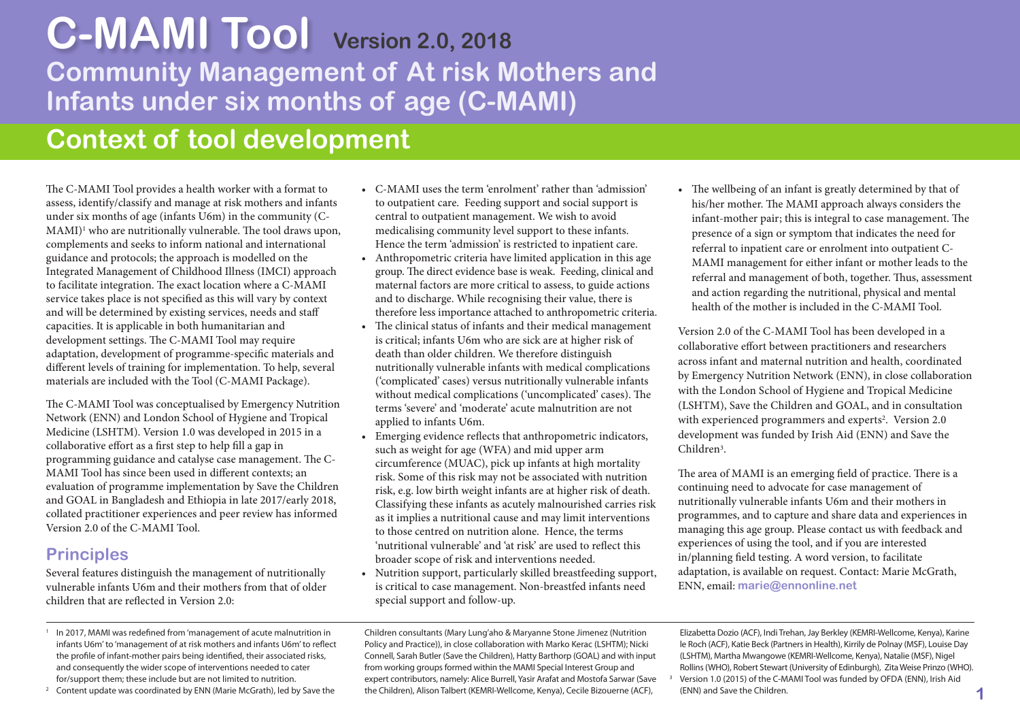# **Community Management of At risk Mothers and Infants under six months of age (C-MAMI) C-MAMI Tool Version 2.0, <sup>2018</sup>**

## **Context of tool development**

The C-MAMI Tool provides a health worker with a format to assess, identify/classify and manage at risk mothers and infants under six months of age (infants U6m) in the community (C- $MAMI$ <sup>1</sup> who are nutritionally vulnerable. The tool draws upon, complements and seeks to inform national and international guidance and protocols; the approach is modelled on the Integrated Management of Childhood Illness (IMCI) approach to facilitate integration. The exact location where a C-MAMI service takes place is not specified as this will vary by context and will be determined by existing services, needs and staff capacities. It is applicable in both humanitarian and development settings. The C-MAMI Tool may require adaptation, development of programme-specific materials and different levels of training for implementation. To help, several materials are included with the Tool (C-MAMI Package).

The C-MAMI Tool was conceptualised by Emergency Nutrition Network (ENN) and London School of Hygiene and Tropical Medicine (LSHTM). Version 1.0 was developed in 2015 in a collaborative effort as a first step to help fill a gap in programming guidance and catalyse case management. The C-MAMI Tool has since been used in different contexts; an evaluation of programme implementation by Save the Children and GOAL in Bangladesh and Ethiopia in late 2017/early 2018, collated practitioner experiences and peer review has informed Version 2.0 of the C-MAMI Tool.

#### **Principles**

Several features distinguish the management of nutritionally vulnerable infants U6m and their mothers from that of older children that are reflected in Version 2.0:

- <sup>1</sup> In 2017, MAMI was redefined from 'management of acute malnutrition in infants U6m'to 'management of at risk mothers and infants U6m'to reflect the profile of infant-mother pairs being identified, their associated risks, and consequently the wider scope of interventions needed to cater for/support them; these include but are not limited to nutrition.
- <sup>2</sup> Content update was coordinated by ENN (Marie McGrath), led by Save the
- C-MAMI uses the term 'enrolment' rather than 'admission' to outpatient care. Feeding support and social support is central to outpatient management. We wish to avoid medicalising community level support to these infants. Hence the term 'admission' is restricted to inpatient care.
- Anthropometric criteria have limited application in this age group. The direct evidence base is weak. Feeding, clinical and maternal factors are more critical to assess, to guide actions and to discharge. While recognising their value, there is therefore less importance attached to anthropometric criteria.
- $\bullet$  The clinical status of infants and their medical management is critical; infants U6m who are sick are at higher risk of death than older children. We therefore distinguish nutritionally vulnerable infants with medical complications ('complicated' cases) versus nutritionally vulnerable infants without medical complications ('uncomplicated' cases). The terms 'severe' and 'moderate' acute malnutrition are not applied to infants U6m.
- Emerging evidence reflects that anthropometric indicators, such as weight for age (WFA) and mid upper arm circumference (MUAC), pick up infants at high mortality risk. Some of this risk may not be associated with nutrition risk, e.g. low birth weight infants are at higher risk of death. Classifying these infants as acutely malnourished carries risk as it implies a nutritional cause and may limit interventions to those centred on nutrition alone. Hence, the terms 'nutritional vulnerable' and 'at risk' are used to reflect this broader scope of risk and interventions needed.
- Nutrition support, particularly skilled breastfeeding support, is critical to case management. Non-breastfed infants need special support and follow-up.

 $\bullet$  The wellbeing of an infant is greatly determined by that of his/her mother. The MAMI approach always considers the infant-mother pair; this is integral to case management. The presence of a sign or symptom that indicates the need for referral to inpatient care or enrolment into outpatient C- MAMI management for either infant or mother leads to the referral and management of both, together. Thus, assessment and action regarding the nutritional, physical and mental health of the mother is included in the C-MAMI Tool.

Version 2.0 of the C-MAMI Tool has been developed in a collaborative effort between practitioners and researchers across infant and maternal nutrition and health, coordinated by Emergency Nutrition Network (ENN), in close collaboration with the London School of Hygiene and Tropical Medicine (LSHTM), Save the Children and GOAL, and in consultation with experienced programmers and experts<sup>2</sup>. Version 2.0 development was funded by Irish Aid (ENN) and Save the Children3.

The area of MAMI is an emerging field of practice. There is a continuing need to advocate for case management of nutritionally vulnerable infants U6m and their mothers in programmes, and to capture and share data and experiences in managing this age group. Please contact us with feedback and experiences of using the tool, and if you are interested in/planning field testing. A word version, to facilitate adaptation, is available on request. Contact: Marie McGrath, ENN, email: **marie@ennonline.net**

Children consultants (Mary Lung'aho & Maryanne Stone Jimenez (Nutrition Policy and Practice)), in close collaboration with Marko Kerac (LSHTM); Nicki Connell, Sarah Butler (Save the Children), Hatty Barthorp (GOAL) and with input from working groups formed within the MAMI Special Interest Group and expert contributors, namely: Alice Burrell, Yasir Arafat and Mostofa Sarwar (Save the Children), Alison Talbert (KEMRI-Wellcome, Kenya), Cecile Bizouerne (ACF),

Elizabetta Dozio (ACF), Indi Trehan,Jay Berkley (KEMRI-Wellcome, Kenya), Karine le Roch (ACF), Katie Beck (Partners in Health), Kirrily de Polnay (MSF), Louise Day (LSHTM), Martha Mwangowe (KEMRI-Wellcome, Kenya), Natalie (MSF), Nigel Rollins(WHO), Robert Stewart (University of Edinburgh), ZitaWeise Prinzo (WHO). <sup>3</sup> Version 1.0 (2015) of the C-MAMI Tool was funded by OFDA (ENN), Irish Aid

(ENN) and Save the Children.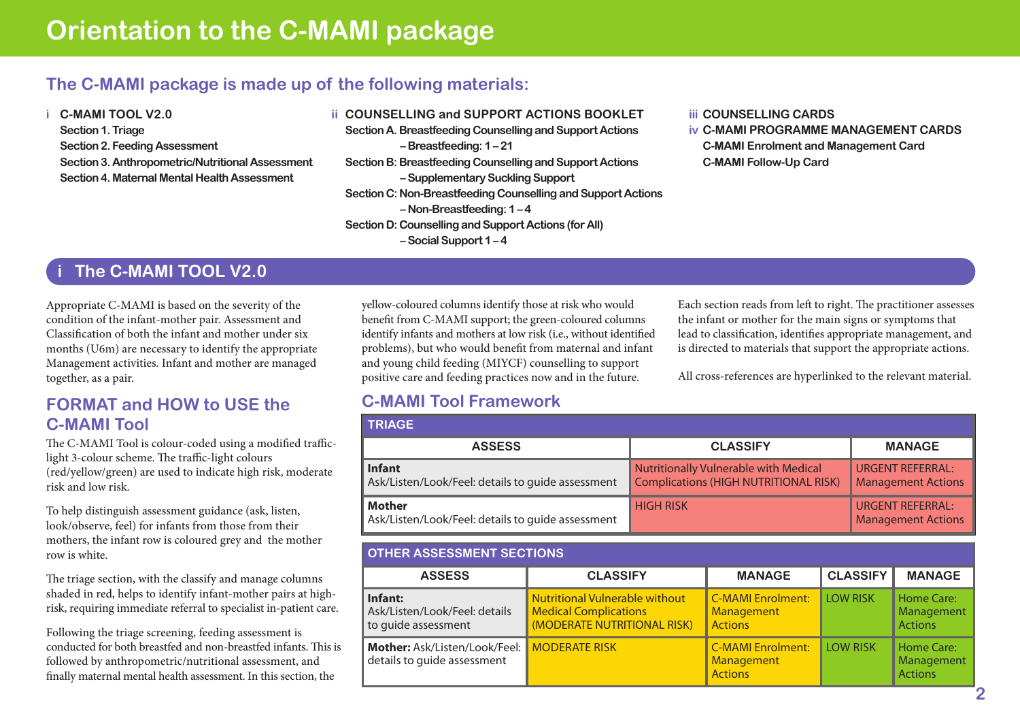## **The C-MAMI package is made up of the following materials:**

**i C-MAMI TOOL V2.0 Section 1. Triage Section2.Feeding Assessment Section3. Anthropometric/Nutritional Assessment Section4. Maternal MentalHealth Assessment**

- **ii COUNSELLING and SUPPORT ACTIONS BOOKLET Section A. Breastfeeding Counselling and Support Actions – Breastfeeding: 1 – 21 Section B: Breastfeeding Counselling and Support Actions –SupplementarySucklingSupport Section C: Non-Breastfeeding Counselling and Support Actions** 
	- - **–Non-Breastfeeding: 1 4**
	- **Section D: Counselling and Support Actions (for All) –SocialSupport 1 – 4**

#### **iii COUNSELLING CARDS**

**iv C-MAMI PROGRAMME MANAGEMENT CARDS C-MAMI Enrolment and Management Card C-MAMI Follow-Up Card**

## **i The C-MAMI TOOL V2.0**

Appropriate C-MAMI is based on the severity of the condition of the infant-mother pair. Assessment and Classification of both the infant and mother under six months (U6m) are necessary to identify the appropriate Management activities. Infant and mother are managed together, as a pair.

#### **FORMAT and HOW to USE the C-MAMI Tool**

The C-MAMI Tool is colour-coded using a modified trafficlight 3-colour scheme. The traffic-light colours (red/yellow/green) are used to indicate high risk, moderate risk and low risk.

To help distinguish assessment guidance (ask, listen, look/observe, feel) for infants from those from their mothers, the infant row is coloured grey and the mother row is white.

The triage section, with the classify and manage columns shaded in red, helps to identify infant-mother pairs at highrisk, requiring immediate referral to specialist in-patient care.

Following the triage screening, feeding assessment is conducted for both breastfed and non-breastfed infants. This is followed by anthropometric/nutritional assessment, and finally maternal mental health assessment. In this section, the

yellow-coloured columns identify those at risk who would benefit from C-MAMI support; the green-coloured columns identify infants and mothers at low risk (i.e., without identified problems), but who would benefit from maternal and infant and young child feeding (MIYCF) counselling to support positive care and feeding practices now and in the future.

Each section reads from left to right. The practitioner assesses the infant or mother for the main signs or symptoms that lead to classification, identifies appropriate management, and is directed to materials that support the appropriate actions.

All cross-references are hyperlinked to the relevant material.

## **C-MAMI Tool Framework**

| <b>TRIAGE</b>                                                      |                                                                                       |                                                      |
|--------------------------------------------------------------------|---------------------------------------------------------------------------------------|------------------------------------------------------|
| <b>ASSESS</b>                                                      | <b>CLASSIFY</b>                                                                       | <b>MANAGE</b>                                        |
| <b>Infant</b><br>Ask/Listen/Look/Feel: details to guide assessment | <b>Nutritionally Vulnerable with Medical</b><br>Complications (HIGH NUTRITIONAL RISK) | <b>URGENT REFERRAL:</b><br><b>Management Actions</b> |
| Mother<br>Ask/Listen/Look/Feel: details to guide assessment        | <b>HIGH RISK</b>                                                                      | <b>URGENT REFERRAL:</b><br><b>Management Actions</b> |

#### **OTHER ASSESSMENT SECTIONS**

| <b>ASSESS</b>                                                              | <b>CLASSIFY</b>                                                                                      | <b>MANAGE</b>                                            | <b>CLASSIFY</b> | <b>MANAGE</b>                              |
|----------------------------------------------------------------------------|------------------------------------------------------------------------------------------------------|----------------------------------------------------------|-----------------|--------------------------------------------|
| Infant:<br>Ask/Listen/Look/Feel: details<br>to quide assessment            | <b>Nutritional Vulnerable without</b><br><b>Medical Complications</b><br>(MODERATE NUTRITIONAL RISK) | <b>C-MAMI Enrolment:</b><br>Management<br><b>Actions</b> | <b>LOW RISK</b> | Home Care:<br>Management<br><b>Actions</b> |
| Mother: Ask/Listen/Look/Feel: MODERATE RISK<br>details to guide assessment |                                                                                                      | <b>C-MAMI Enrolment:</b><br>Management<br><b>Actions</b> | <b>LOW RISK</b> | Home Care:<br>Management<br><b>Actions</b> |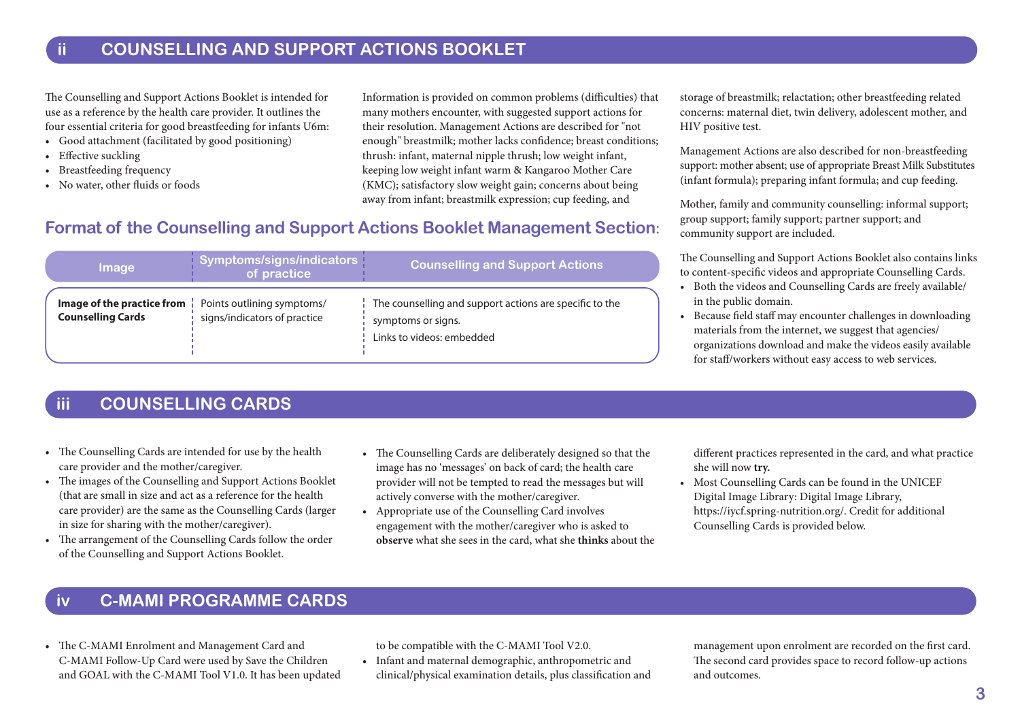#### **ii COUNSELLING AND SUPPORT ACTIONS BOOKLET**

The Counselling and Support Actions Booklet is intended for use as a reference by the health care provider. It outlines the four essential criteria for good breastfeeding for infants U6m:

- Good attachment (facilitated by good positioning)
- Effective suckling
- Breastfeeding frequency
- No water, other fluids or foods

Information is provided on common problems (difficulties) that many mothers encounter, with suggested support actions for their resolution. Management Actions are described for "not enough" breastmilk; mother lacks confidence; breast conditions; thrush: infant, maternal nipple thrush; low weight infant, keeping low weight infant warm & Kangaroo Mother Care (KMC); satisfactory slow weight gain; concerns about being away from infant; breastmilk expression; cup feeding, and

#### **Format of the Counselling and Support Actions Booklet Management Section:**

| <b>Image</b>                                           | Symptoms/signs/indicators<br>of practice                   | <b>Counselling and Support Actions</b>                                                                     |
|--------------------------------------------------------|------------------------------------------------------------|------------------------------------------------------------------------------------------------------------|
| Image of the practice from<br><b>Counselling Cards</b> | Points outlining symptoms/<br>signs/indicators of practice | The counselling and support actions are specific to the<br>symptoms or signs.<br>Links to videos: embedded |

#### **iii COUNSELLING CARDS**

- The Counselling Cards are intended for use by the health care provider and the mother/caregiver.
- The images of the Counselling and Support Actions Booklet (that are small in size and act as a reference for the health care provider) are the same as the Counselling Cards (larger in size for sharing with the mother/caregiver).
- The arrangement of the Counselling Cards follow the order of the Counselling and Support Actions Booklet.
- The Counselling Cards are deliberately designed so that the image has no 'messages' on back of card; the health care provider will not be tempted to read the messages but will actively converse with the mother/caregiver.
- Appropriate use of the Counselling Card involves engagement with the mother/caregiver who is asked to  **observe** what she sees in the card, what she **thinks** about the

storage of breastmilk; relactation; other breastfeeding related concerns: maternal diet, twin delivery, adolescent mother, and HIV positive test.

Management Actions are also described for non-breastfeeding support: mother absent; use of appropriate Breast Milk Substitutes (infant formula); preparing infant formula; and cup feeding.

Mother, family and community counselling: informal support; group support; family support; partner support; and community support are included.

The Counselling and Support Actions Booklet also contains links to content-specific videos and appropriate Counselling Cards.

- Both the videos and Counselling Cards are freely available/ in the public domain.
- Because field staff may encounter challenges in downloading materials from the internet, we suggest that agencies/ organizations download and make the videos easily available for staff/workers without easy access to web services.

 different practices represented in the card, and what practice she will now **try.**

• Most Counselling Cards can be found in the UNICEF Digital Image Library: Digital Image Library, https://iycf.spring-nutrition.org/. Credit for additional Counselling Cards is provided below.

## **iv C-MAMI PROGRAMME CARDS**

• The C-MAMI Enrolment and Management Card and C-MAMI Follow-Up Card were used by Save the Children and GOAL with the C-MAMI Tool V1.0. It has been updated to be compatible with the C-MAMI Tool V2.0.

• Infant and maternal demographic, anthropometric and clinical/physical examination details, plus classification and

 management upon enrolment are recorded on the first card. The second card provides space to record follow-up actions and outcomes.